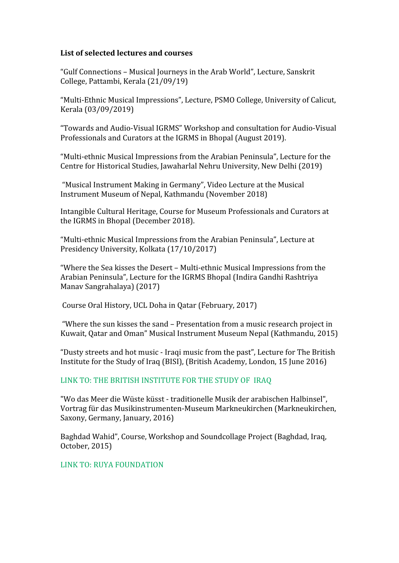## **List of selected lectures and courses**

"Gulf Connections – Musical Journeys in the Arab World", Lecture, Sanskrit College, Pattambi, Kerala (21/09/19)

"Multi-Ethnic Musical Impressions", Lecture, PSMO College, University of Calicut, Kerala (03/09/2019)

"Towards and Audio-Visual IGRMS" Workshop and consultation for Audio-Visual Professionals and Curators at the IGRMS in Bhopal (August 2019).

"Multi-ethnic Musical Impressions from the Arabian Peninsula", Lecture for the Centre for Historical Studies, Jawaharlal Nehru University, New Delhi (2019)

 "Musical Instrument Making in Germany", Video Lecture at the Musical Instrument Museum of Nepal, Kathmandu (November 2018)

Intangible Cultural Heritage, Course for Museum Professionals and Curators at the IGRMS in Bhopal (December 2018).

"Multi-ethnic Musical Impressions from the Arabian Peninsula", Lecture at Presidency University, Kolkata (17/10/2017)

"Where the Sea kisses the Desert – Multi-ethnic Musical Impressions from the Arabian Peninsula", Lecture for the IGRMS Bhopal [\(Indira Gandhi Rashtriya](https://www.google.co.uk/url?sa=t&rct=j&q=&esrc=s&source=web&cd=1&ved=0ahUKEwi-5fvsq83VAhWkK8AKHUvCANQQFggnMAA&url=http%3A%2F%2Figrms.gov.in%2F&usg=AFQjCNFZyUp1AAd4BpV_T3NQnaCtt1eP5g)  [Manav Sangrahalaya\)](https://www.google.co.uk/url?sa=t&rct=j&q=&esrc=s&source=web&cd=1&ved=0ahUKEwi-5fvsq83VAhWkK8AKHUvCANQQFggnMAA&url=http%3A%2F%2Figrms.gov.in%2F&usg=AFQjCNFZyUp1AAd4BpV_T3NQnaCtt1eP5g) (2017)

Course Oral History, UCL Doha in Qatar (February, 2017)

 "Where the sun kisses the sand – Presentation from a music research project in Kuwait, Qatar and Oman" Musical Instrument Museum Nepal (Kathmandu, 2015)

"Dusty streets and hot music - Iraqi music from the past", Lecture for The British Institute for the Study of Iraq (BISI), (British Academy, London, 15 June 2016)

## [LINK TO: THE BRITISH INSTITUTE FOR THE STUDY OF IRAQ](http://www.bisi.ac.uk/content/lecture)

"Wo das Meer die Wüste küsst - traditionelle Musik der arabischen Halbinsel", Vortrag für das Musikinstrumenten-Museum Markneukirchen (Markneukirchen, Saxony, Germany, January, 2016)

Baghdad Wahid", Course, Workshop and Soundcollage Project (Baghdad, Iraq, October, 2015)

## [LINK TO: RUYA FOUNDATION](https://ruyafoundation.org/en/2015/11/ruya-lab-1/)